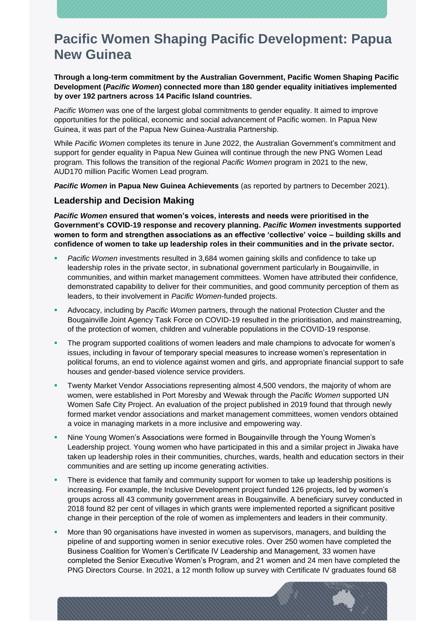**Through a long-term commitment by the Australian Government, Pacific Women Shaping Pacific Development (***Pacific Women***) connected more than 180 gender equality initiatives implemented by over 192 partners across 14 Pacific Island countries.**

*Pacific Women* was one of the largest global commitments to gender equality. It aimed to improve opportunities for the political, economic and social advancement of Pacific women. In Papua New Guinea, it was part of the Papua New Guinea-Australia Partnership.

While *Pacific Women* completes its tenure in June 2022, the Australian Government's commitment and support for gender equality in Papua New Guinea will continue through the new PNG Women Lead program. This follows the transition of the regional *Pacific Women* program in 2021 to the new, AUD170 million Pacific Women Lead program.

*Pacific Women* **in Papua New Guinea Achievements** (as reported by partners to December 2021).

### **Leadership and Decision Making**

*Pacific Women* **ensured that women's voices, interests and needs were prioritised in the Government's COVID-19 response and recovery planning.** *Pacific Women* **investments supported women to form and strengthen associations as an effective 'collective' voice – building skills and confidence of women to take up leadership roles in their communities and in the private sector.**

- Pacific Women investments resulted in 3,684 women gaining skills and confidence to take up leadership roles in the private sector, in subnational government particularly in Bougainville, in communities, and within market management committees. Women have attributed their confidence, demonstrated capability to deliver for their communities, and good community perception of them as leaders, to their involvement in *Pacific Women*-funded projects.
- Advocacy, including by *Pacific Women* partners, through the national Protection Cluster and the Bougainville Joint Agency Task Force on COVID-19 resulted in the prioritisation, and mainstreaming, of the protection of women, children and vulnerable populations in the COVID-19 response.
- The program supported coalitions of women leaders and male champions to advocate for women's issues, including in favour of temporary special measures to increase women's representation in political forums, an end to violence against women and girls, and appropriate financial support to safe houses and gender-based violence service providers.
- Twenty Market Vendor Associations representing almost 4,500 vendors, the majority of whom are women, were established in Port Moresby and Wewak through the *Pacific Women* supported UN Women Safe City Project. An evaluation of the project published in 2019 found that through newly formed market vendor associations and market management committees, women vendors obtained a voice in managing markets in a more inclusive and empowering way.
- Nine Young Women's Associations were formed in Bougainville through the Young Women's Leadership project. Young women who have participated in this and a similar project in Jiwaka have taken up leadership roles in their communities, churches, wards, health and education sectors in their communities and are setting up income generating activities.
- There is evidence that family and community support for women to take up leadership positions is increasing. For example, the Inclusive Development project funded 126 projects, led by women's groups across all 43 community government areas in Bougainville. A beneficiary survey conducted in 2018 found 82 per cent of villages in which grants were implemented reported a significant positive change in their perception of the role of women as implementers and leaders in their community.
- More than 90 organisations have invested in women as supervisors, managers, and building the pipeline of and supporting women in senior executive roles. Over 250 women have completed the Business Coalition for Women's Certificate IV Leadership and Management*,* 33 women have completed the Senior Executive Women's Program, and 21 women and 24 men have completed the PNG Directors Course. In 2021, a 12 month follow up survey with Certificate IV graduates found 68

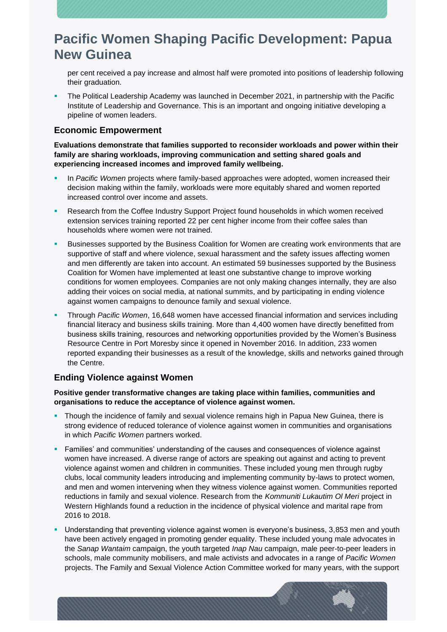per cent received a pay increase and almost half were promoted into positions of leadership following their graduation.

The Political Leadership Academy was launched in December 2021, in partnership with the Pacific Institute of Leadership and Governance. This is an important and ongoing initiative developing a pipeline of women leaders.

### **Economic Empowerment**

**Evaluations demonstrate that families supported to reconsider workloads and power within their family are sharing workloads, improving communication and setting shared goals and experiencing increased incomes and improved family wellbeing.** 

- In *Pacific Women* projects where family-based approaches were adopted, women increased their decision making within the family, workloads were more equitably shared and women reported increased control over income and assets.
- Research from the Coffee Industry Support Project found households in which women received extension services training reported 22 per cent higher income from their coffee sales than households where women were not trained.
- Businesses supported by the Business Coalition for Women are creating work environments that are supportive of staff and where violence, sexual harassment and the safety issues affecting women and men differently are taken into account. An estimated 59 businesses supported by the Business Coalition for Women have implemented at least one substantive change to improve working conditions for women employees. Companies are not only making changes internally, they are also adding their voices on social media, at national summits, and by participating in ending violence against women campaigns to denounce family and sexual violence.
- Through *Pacific Women*, 16,648 women have accessed financial information and services including financial literacy and business skills training. More than 4,400 women have directly benefitted from business skills training, resources and networking opportunities provided by the Women's Business Resource Centre in Port Moresby since it opened in November 2016. In addition, 233 women reported expanding their businesses as a result of the knowledge, skills and networks gained through the Centre.

### **Ending Violence against Women**

#### **Positive gender transformative changes are taking place within families, communities and organisations to reduce the acceptance of violence against women.**

- **Though the incidence of family and sexual violence remains high in Papua New Guinea, there is** strong evidence of reduced tolerance of violence against women in communities and organisations in which *Pacific Women* partners worked.
- **Families' and communities' understanding of the causes and consequences of violence against** women have increased. A diverse range of actors are speaking out against and acting to prevent violence against women and children in communities. These included young men through rugby clubs, local community leaders introducing and implementing community by-laws to protect women, and men and women intervening when they witness violence against women. Communities reported reductions in family and sexual violence. Research from the *Kommuniti Lukautim Ol Meri* project in Western Highlands found a reduction in the incidence of physical violence and marital rape from 2016 to 2018.
- Understanding that preventing violence against women is everyone's business, 3,853 men and youth have been actively engaged in promoting gender equality. These included young male advocates in the *Sanap Wantaim* campaign, the youth targeted *Inap Nau* campaign, male peer-to-peer leaders in schools, male community mobilisers, and male activists and advocates in a range of *Pacific Women*  projects. The Family and Sexual Violence Action Committee worked for many years, with the support

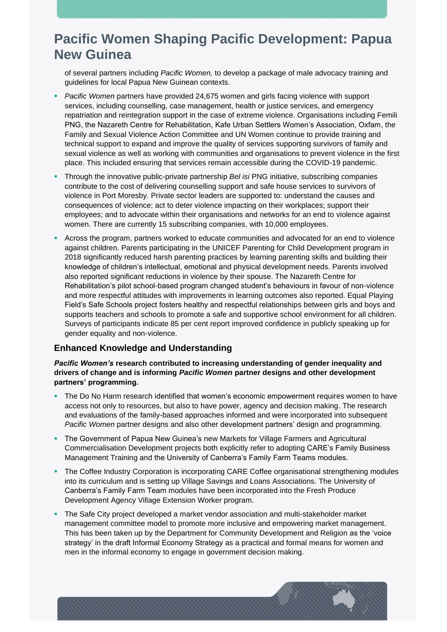of several partners including *Pacific Women,* to develop a package of male advocacy training and guidelines for local Papua New Guinean contexts.

- *Pacific Women partners have provided 24,675 women and girls facing violence with support* services, including counselling, case management, health or justice services, and emergency repatriation and reintegration support in the case of extreme violence. Organisations including Femili PNG, the Nazareth Centre for Rehabilitation, Kafe Urban Settlers Women's Association, Oxfam, the Family and Sexual Violence Action Committee and UN Women continue to provide training and technical support to expand and improve the quality of services supporting survivors of family and sexual violence as well as working with communities and organisations to prevent violence in the first place. This included ensuring that services remain accessible during the COVID-19 pandemic.
- Through the innovative public-private partnership *Bel isi* PNG initiative, subscribing companies contribute to the cost of delivering counselling support and safe house services to survivors of violence in Port Moresby. Private sector leaders are supported to: understand the causes and consequences of violence; act to deter violence impacting on their workplaces; support their employees; and to advocate within their organisations and networks for an end to violence against women. There are currently 15 subscribing companies, with 10,000 employees.
- Across the program, partners worked to educate communities and advocated for an end to violence against children. Parents participating in the UNICEF Parenting for Child Development program in 2018 significantly reduced harsh parenting practices by learning parenting skills and building their knowledge of children's intellectual, emotional and physical development needs. Parents involved also reported significant reductions in violence by their spouse. The Nazareth Centre for Rehabilitation's pilot school-based program changed student's behaviours in favour of non-violence and more respectful attitudes with improvements in learning outcomes also reported. Equal Playing Field's Safe Schools project fosters healthy and respectful relationships between girls and boys and supports teachers and schools to promote a safe and supportive school environment for all children. Surveys of participants indicate 85 per cent report improved confidence in publicly speaking up for gender equality and non-violence.

### **Enhanced Knowledge and Understanding**

*Pacific Women's* **research contributed to increasing understanding of gender inequality and drivers of change and is informing** *Pacific Women* **partner designs and other development partners' programming.** 

- The Do No Harm research identified that women's economic empowerment requires women to have access not only to resources, but also to have power, agency and decision making. The research and evaluations of the family-based approaches informed and were incorporated into subsequent *Pacific Women* partner designs and also other development partners' design and programming.
- **The Government of Papua New Guinea's new Markets for Village Farmers and Agricultural** Commercialisation Development projects both explicitly refer to adopting CARE's Family Business Management Training and the University of Canberra's Family Farm Teams modules.
- **The Coffee Industry Corporation is incorporating CARE Coffee organisational strengthening modules** into its curriculum and is setting up Village Savings and Loans Associations. The University of Canberra's Family Farm Team modules have been incorporated into the Fresh Produce Development Agency Village Extension Worker program.
- The Safe City project developed a market vendor association and multi-stakeholder market management committee model to promote more inclusive and empowering market management. This has been taken up by the Department for Community Development and Religion as the 'voice strategy' in the draft Informal Economy Strategy as a practical and formal means for women and men in the informal economy to engage in government decision making.